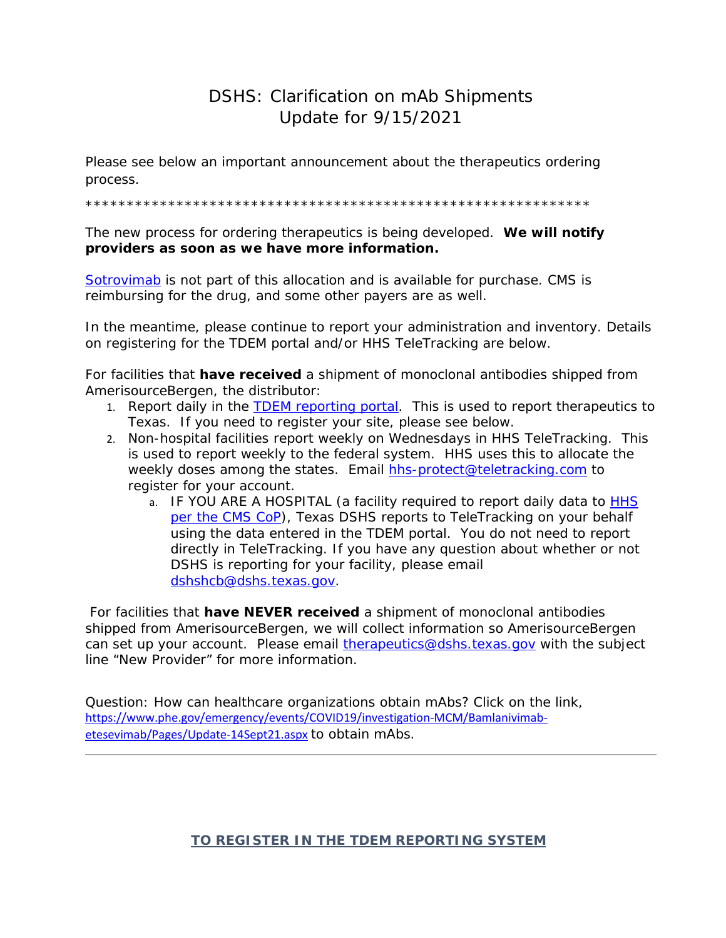## DSHS: Clarification on mAb Shipments Update for 9/15/2021

Please see below an important announcement about the therapeutics ordering process.

\*\*\*\*\*\*\*\*\*\*\*\*\*\*\*\*\*\*\*\*\*\*\*\*\*\*\*\*\*\*\*\*\*\*\*\*\*\*\*\*\*\*\*\*\*\*\*\*\*\*\*\*\*\*\*\*\*\*\*\*\*

The new process for ordering therapeutics is being developed. **We will notify providers as soon as we have more information.**

[Sotrovimab](https://url.emailprotection.link/?bVRyi2DAhJVtCceX254kBQ99KV-SilcPGaL5z8EV2c0MPAlgF0PrzZXlpse_xUGl5ohnqI3BS3m0Ktj_6uc_vDg%7E%7E) is not part of this allocation and is available for purchase. CMS is reimbursing for the drug, and some other payers are as well.

In the meantime, please continue to report your administration and inventory. Details on registering for the TDEM portal and/or HHS TeleTracking are below.

For facilities that **have received** a shipment of monoclonal antibodies shipped from AmerisourceBergen, the distributor:

- 1. Report daily in the **TDEM reporting portal**. This is used to report therapeutics to Texas. If you need to register your site, please see below.
- 2. Non-hospital facilities report weekly on Wednesdays in HHS TeleTracking. This is used to report weekly to the federal system. HHS uses this to allocate the weekly doses among the states. Email [hhs-protect@teletracking.com](mailto:hhs-protect@teletracking.com) to register for your account.
	- a. IF YOU ARE A HOSPITAL (a facility required to report daily data to **HHS** [per the CMS CoP\)](https://url.emailprotection.link/?brGQQItzUOAqds-WJoXH3cBcwbbOSUUXAHF1FCpmjJjfyOOVmuOsp1MKU-8JH5tibzy6fZ-6xG7DH3Ji59gKAWXWckFcoO2YNdqBz2I567QXoBpWaPv9BtLyn-XJtnI2_1yNljjr5nZ2JcNt9TxifKXj_GtAQe7W3YfaURDyMs2Q%7E), Texas DSHS reports to TeleTracking on your behalf using the data entered in the TDEM portal. You do not need to report directly in TeleTracking. If you have any question about whether or not DSHS is reporting for your facility, please email [dshshcb@dshs.texas.gov.](mailto:dshshcb@dshs.texas.gov)

For facilities that **have NEVER received** a shipment of monoclonal antibodies shipped from AmerisourceBergen, we will collect information so AmerisourceBergen can set up your account. Please email [therapeutics@dshs.texas.gov](mailto:therapeutics@dshs.texas.gov) with the subject line "New Provider" for more information.

Question: How can healthcare organizations obtain mAbs? Click on the link, [https://www.phe.gov/emergency/events/COVID19/investigation-MCM/Bamlanivimab](https://url.emailprotection.link/?bK2aDxfV6rHQfso7kNsD9ulBJZJQcIWj26MJ6XM8BHlTfuVVL0IrOUGuTWwPGzdp1-JJkkXqWeeQjQcMqe07gwewts4mpxgB165zTKGOeIHp7myp67a_hBH6iW9OkuHKmH_zXyulDibg8J7Li_KFHE-iikueBUVuijtHSP34MbOf4XE-ljfAzB14eRfnbEihB7B6GcqaglsbXlvgOCzN9gA%7E%7E)[etesevimab/Pages/Update-14Sept21.aspx](https://url.emailprotection.link/?bK2aDxfV6rHQfso7kNsD9ulBJZJQcIWj26MJ6XM8BHlTfuVVL0IrOUGuTWwPGzdp1-JJkkXqWeeQjQcMqe07gwewts4mpxgB165zTKGOeIHp7myp67a_hBH6iW9OkuHKmH_zXyulDibg8J7Li_KFHE-iikueBUVuijtHSP34MbOf4XE-ljfAzB14eRfnbEihB7B6GcqaglsbXlvgOCzN9gA%7E%7E) to obtain mAbs.

*TO REGISTER IN THE TDEM REPORTING SYSTEM*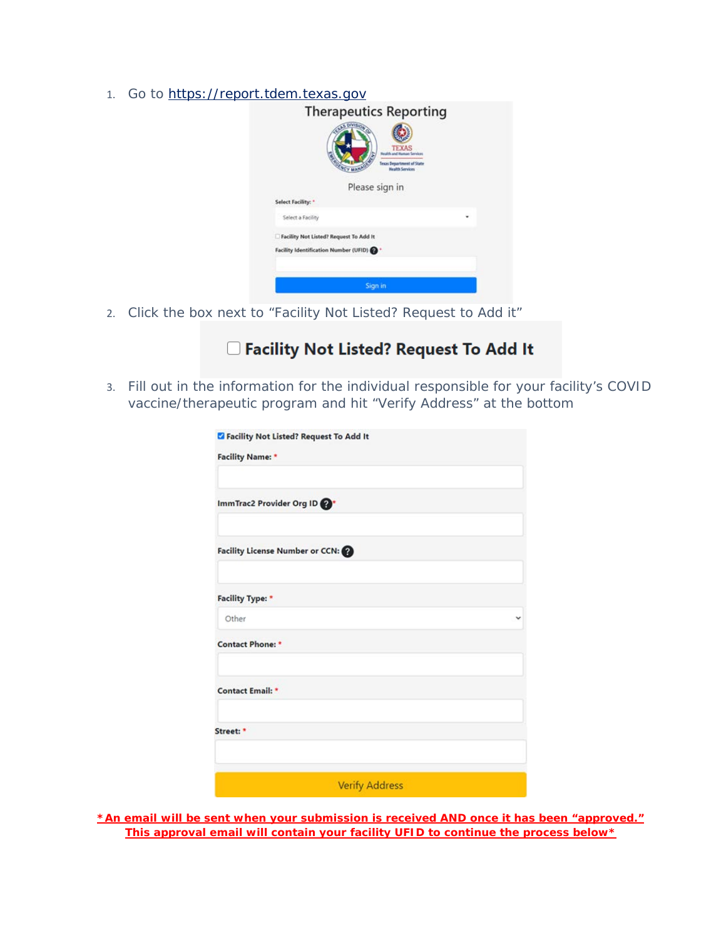1. Go to [https://report.tdem.texas.gov](https://url.emailprotection.link/?bfd2TUVc1MOhIJWkvPDqRc_LncYnEAo2yQVU5zm06SSBQSpiYfWQu6ePDM9SuKHJe5Ms0ZtdGIxCvibr3pbB0Jg%7E%7E)

| <b>Therapeutics Reporting</b><br><b>TEXAS</b><br><b>A and Ruman Services</b><br>Texas Department of State<br><b>Health Services</b><br>Please sign in |  |
|-------------------------------------------------------------------------------------------------------------------------------------------------------|--|
| Select Facility: *                                                                                                                                    |  |
| Select a Facility                                                                                                                                     |  |
| Facility Not Listed? Request To Add It                                                                                                                |  |
| Facility Identification Number (UFID)                                                                                                                 |  |
|                                                                                                                                                       |  |
| Sign in                                                                                                                                               |  |

2. Click the box next to "Facility Not Listed? Request to Add it"

# □ Facility Not Listed? Request To Add It

3. Fill out in the information for the individual responsible for your facility's COVID vaccine/therapeutic program and hit "Verify Address" at the bottom

| Z Facility Not Listed? Request To Add It |   |
|------------------------------------------|---|
| <b>Facility Name:</b>                    |   |
|                                          |   |
| ImmTrac2 Provider Org ID                 |   |
| Facility License Number or CCN:          |   |
| Facility Type: *                         |   |
| Other                                    | v |
| <b>Contact Phone: *</b>                  |   |
| <b>Contact Email: *</b>                  |   |
| Street: *                                |   |
|                                          |   |
| <b>Verify Address</b>                    |   |

**\*An email will be sent when your submission is received AND once it has been "approved." This approval email will contain your facility UFID to continue the process below\***